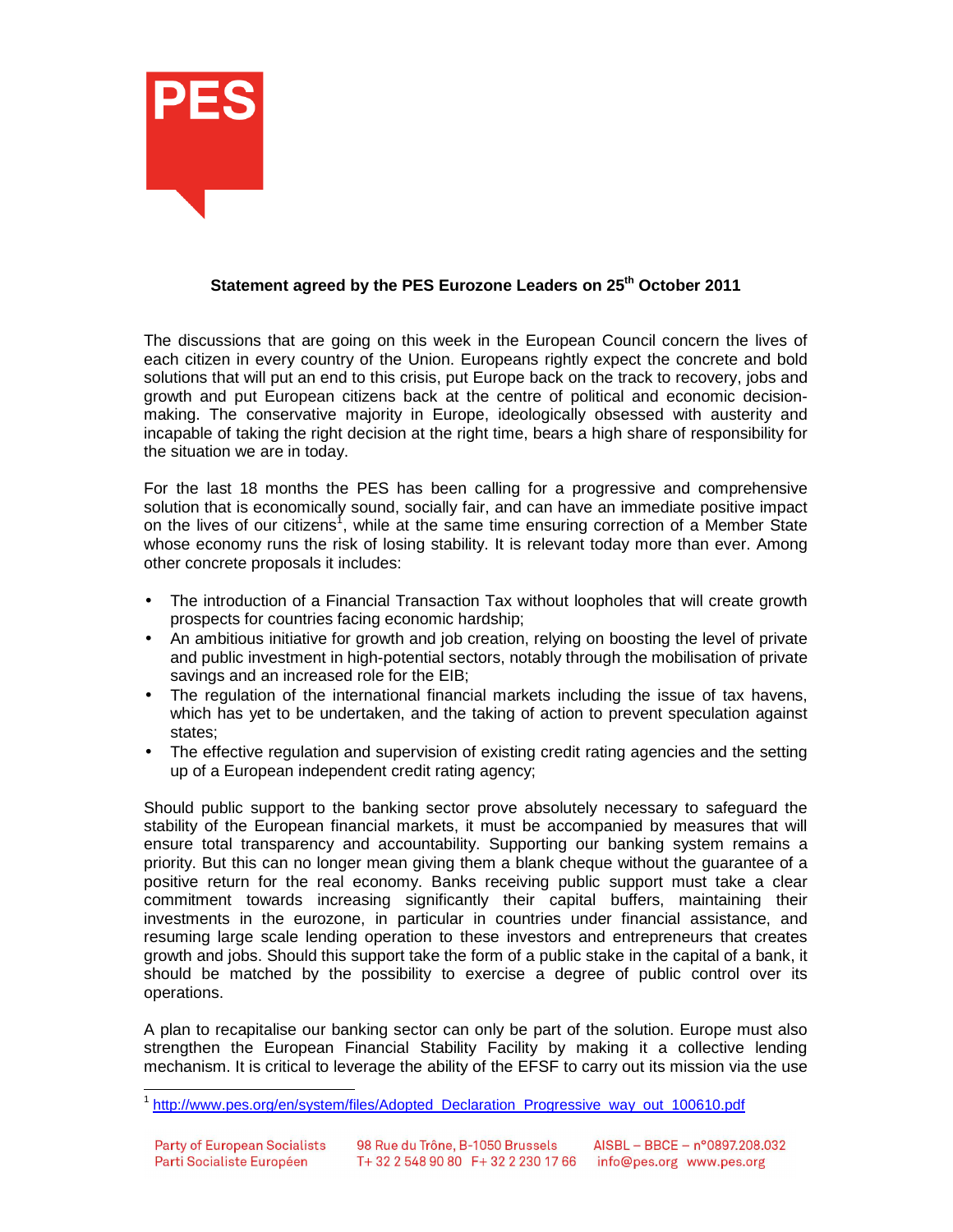

## **Statement agreed by the PES Eurozone Leaders on 25th October 2011**

The discussions that are going on this week in the European Council concern the lives of each citizen in every country of the Union. Europeans rightly expect the concrete and bold solutions that will put an end to this crisis, put Europe back on the track to recovery, jobs and growth and put European citizens back at the centre of political and economic decisionmaking. The conservative majority in Europe, ideologically obsessed with austerity and incapable of taking the right decision at the right time, bears a high share of responsibility for the situation we are in today.

For the last 18 months the PES has been calling for a progressive and comprehensive solution that is economically sound, socially fair, and can have an immediate positive impact on the lives of our citizens<sup>1</sup>, while at the same time ensuring correction of a Member State whose economy runs the risk of losing stability. It is relevant today more than ever. Among other concrete proposals it includes:

- The introduction of a Financial Transaction Tax without loopholes that will create growth prospects for countries facing economic hardship;
- An ambitious initiative for growth and job creation, relying on boosting the level of private and public investment in high-potential sectors, notably through the mobilisation of private savings and an increased role for the EIB;
- The regulation of the international financial markets including the issue of tax havens, which has yet to be undertaken, and the taking of action to prevent speculation against states;
- The effective regulation and supervision of existing credit rating agencies and the setting up of a European independent credit rating agency;

Should public support to the banking sector prove absolutely necessary to safeguard the stability of the European financial markets, it must be accompanied by measures that will ensure total transparency and accountability. Supporting our banking system remains a priority. But this can no longer mean giving them a blank cheque without the guarantee of a positive return for the real economy. Banks receiving public support must take a clear commitment towards increasing significantly their capital buffers, maintaining their investments in the eurozone, in particular in countries under financial assistance, and resuming large scale lending operation to these investors and entrepreneurs that creates growth and jobs. Should this support take the form of a public stake in the capital of a bank, it should be matched by the possibility to exercise a degree of public control over its operations.

A plan to recapitalise our banking sector can only be part of the solution. Europe must also strengthen the European Financial Stability Facility by making it a collective lending mechanism. It is critical to leverage the ability of the EFSF to carry out its mission via the use

 1 http://www.pes.org/en/system/files/Adopted\_Declaration\_Progressive\_way\_out\_100610.pdf